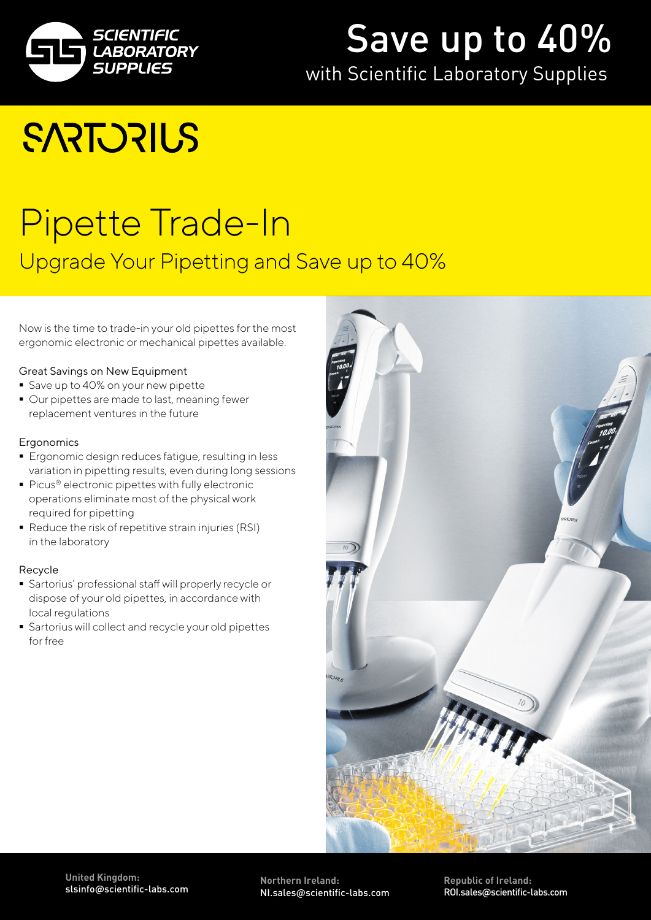

## Save up to 40%

## with Scientific Laboratory Supplies

## **SARTORILS**

## [Pipette Trade-In](https://www.scientificlabs.co.uk) Upgrade Your Pipetting and Save up to 40%

Now is the time to trade-in your old pipettes for the most ergonomic electronic or mechanical pipettes available.

#### Great Savings on New Equipment

- Save up to 40% on your new pipette
- Our pipettes are made to last, meaning fewer replacement ventures in the future

#### **Ergonomics**

- Ergonomic design reduces fatigue, resulting in less variation in pipetting results, even during long sessions
- Picus® electronic pipettes with fully electronic operations eliminate most of the physical work required for pipetting
- Reduce the risk of repetitive strain injuries (RSI) in the laboratory

#### Recycle

- Sartorius' professional staff will properly recycle or dispose of your old pipettes, in accordance with local regulations
- Sartorius will collect and recycle your old pipettes for free



**Northern Ireland:** NI.sales@scientific-labs.com

**Republic of Ireland:**  ROI.sales@scientific-labs.com